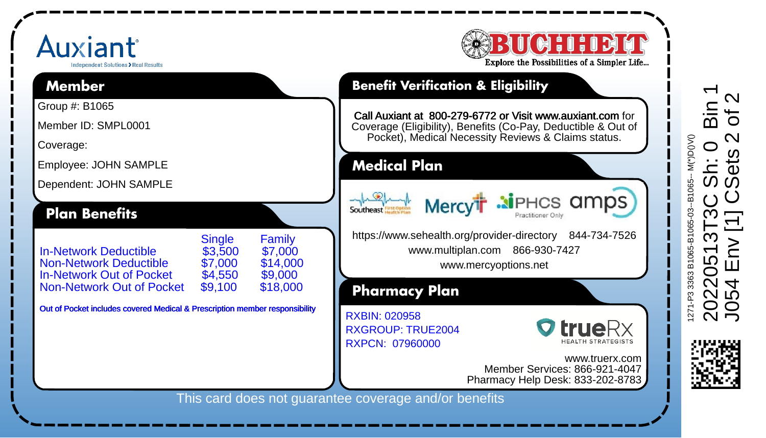## Auxiant dramsteet Solutions > Real Resu **Member**

Group #: B1065 Member ID: SMPL0001 Coverage:

Employee: JOHN SAMPLE Dependent: JOHN SAMPLE

Non-Network Out of Pocket

**Plan Benefits**



## **Benefit Verification & Eligibility**

Call Auxiant at 800-279-6772 or Visit www.auxiant.com for Coverage (Eligibility), Benefits (Co-Pay, Deductible & Out of Pocket), Medical Necessity Reviews & Claims status.

**Medical Plan**

Southeast Mercy<sup>t</sup> Mercy<sup>th</sup> ai PHCS amps

https://www.sehealth.org/provider-directory 844-734-7526 www.multiplan.com 866-930-7427

www.mercyoptions.net

**Pharmacy Plan**

RXGROUP: TRUE2004 RXPCN: 07960000 RXBIN: 020958



www.truerx.com Member Services: 866-921-4047 Pharmacy Help Desk: 833-202-8783

This card does not guarantee coverage and/or benefits

Single Family<br>\$3.500 \$7.000

In-Network Deductible \$3,500 \$7,000 Non-Network Deductible \$7,000 \$14,000 In-Network Out of Pocket \$4,550 \$9,000

Out of Pocket includes covered Medical & Prescription member responsibility